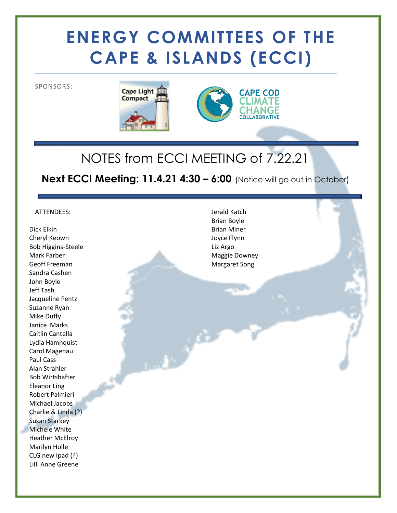# **ENERGY COMMITTEES OF THE CAPE & ISLANDS (ECCI)**

SPONSORS:





## NOTES from ECCI MEETING of 7.22.21

**Next ECCI Meeting: 11.4.21 4:30 – 6:00** (Notice will go out in October)

عمو

#### ATTENDEES:

Dick Elkin Cheryl Keown Bob Higgins-Steele Mark Farber Geoff Freeman Sandra Cashen John Boyle Jeff Tash Jacqueline Pentz Suzanne Ryan Mike Duffy Janice Marks Caitlin Cantella Lydia Hamnquist Carol Magenau Paul Cass Alan Strahler Bob Wirtshafter Eleanor Ling Robert Palmieri Michael Jacobs Charlie & Linda (?) Susan Starkey Michele White Heather McElroy Marilyn Holle CLG new Ipad (?) Lilli Anne Greene

Jerald Katch Brian Boyle Brian Miner Joyce Flynn Liz Argo Maggie Downey Margaret Song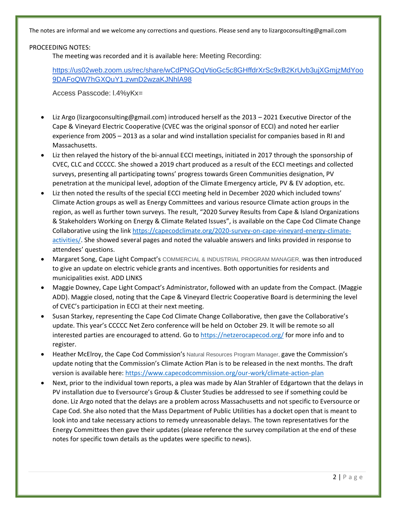The notes are informal and we welcome any corrections and questions. Please send any to lizargoconsulting@gmail.com

PROCEEDING NOTES:

The meeting was recorded and it is available here: Meeting Recording:

[https://us02web.zoom.us/rec/share/wCdPNGOqVtioGc5c8GHffdrXrSc9xB2KrUvb3ujXGmjzMdYoo](https://us02web.zoom.us/rec/share/wCdPNGOqVtioGc5c8GHffdrXrSc9xB2KrUvb3ujXGmjzMdYoo9DAFoQW7hGXQuY1.zwnD2wzaKJNhlA98) [9DAFoQW7hGXQuY1.zwnD2wzaKJNhlA98](https://us02web.zoom.us/rec/share/wCdPNGOqVtioGc5c8GHffdrXrSc9xB2KrUvb3ujXGmjzMdYoo9DAFoQW7hGXQuY1.zwnD2wzaKJNhlA98)

Access Passcode: l.4%yKx=

- Liz Argo (lizargoconsulting@gmail.com) introduced herself as the 2013 2021 Executive Director of the Cape & Vineyard Electric Cooperative (CVEC was the original sponsor of ECCI) and noted her earlier experience from 2005 – 2013 as a solar and wind installation specialist for companies based in RI and Massachusetts.
- Liz then relayed the history of the bi-annual ECCI meetings, initiated in 2017 through the sponsorship of CVEC, CLC and CCCCC. She showed a 2019 chart produced as a result of the ECCI meetings and collected surveys, presenting all participating towns' progress towards Green Communities designation, PV penetration at the municipal level, adoption of the Climate Emergency article, PV & EV adoption, etc.
- Liz then noted the results of the special ECCI meeting held in December 2020 which included towns' Climate Action groups as well as Energy Committees and various resource Climate action groups in the region, as well as further town surveys. The result, "2020 Survey Results from Cape & Island Organizations & Stakeholders Working on Energy & Climate Related Issues", is available on the Cape Cod Climate Change Collaborative using the link [https://capecodclimate.org/2020-survey-on-cape-vineyard-energy-climate](https://capecodclimate.org/2020-survey-on-cape-vineyard-energy-climate-activities/)[activities/.](https://capecodclimate.org/2020-survey-on-cape-vineyard-energy-climate-activities/) She showed several pages and noted the valuable answers and links provided in response to attendees' questions.
- Margaret Song, Cape Light Compact's COMMERCIAL & INDUSTRIAL PROGRAM MANAGER, was then introduced to give an update on electric vehicle grants and incentives. Both opportunities for residents and municipalities exist. ADD LINKS
- Maggie Downey, Cape Light Compact's Administrator, followed with an update from the Compact. (Maggie ADD). Maggie closed, noting that the Cape & Vineyard Electric Cooperative Board is determining the level of CVEC's participation in ECCI at their next meeting.
- Susan Starkey, representing the Cape Cod Climate Change Collaborative, then gave the Collaborative's update. This year's CCCCC Net Zero conference will be held on October 29. It will be remote so all interested parties are encouraged to attend. Go to <https://netzerocapecod.org/> for more info and to register.
- Heather McElroy, the Cape Cod Commission's Natural Resources Program Manager, gave the Commission's update noting that the Commission's Climate Action Plan is to be released in the next months. The draft version is available here:<https://www.capecodcommission.org/our-work/climate-action-plan>
- Next, prior to the individual town reports, a plea was made by Alan Strahler of Edgartown that the delays in PV installation due to Eversource's Group & Cluster Studies be addressed to see if something could be done. Liz Argo noted that the delays are a problem across Massachusetts and not specific to Eversource or Cape Cod. She also noted that the Mass Department of Public Utilities has a docket open that is meant to look into and take necessary actions to remedy unreasonable delays. The town representatives for the Energy Committees then gave their updates (please reference the survey compilation at the end of these notes for specific town details as the updates were specific to news).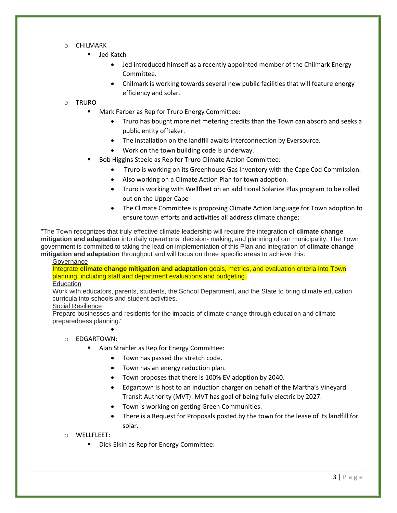#### o CHILMARK

- Jed Katch
	- Jed introduced himself as a recently appointed member of the Chilmark Energy Committee.
	- Chilmark is working towards several new public facilities that will feature energy efficiency and solar.

#### o TRURO

- Mark Farber as Rep for Truro Energy Committee:
	- Truro has bought more net metering credits than the Town can absorb and seeks a public entity offtaker.
	- The installation on the landfill awaits interconnection by Eversource.
	- Work on the town building code is underway.
- Bob Higgins Steele as Rep for Truro Climate Action Committee:
	- Truro is working on its Greenhouse Gas Inventory with the Cape Cod Commission.
	- Also working on a Climate Action Plan for town adoption.
	- Truro is working with Wellfleet on an additional Solarize Plus program to be rolled out on the Upper Cape
	- The Climate Committee is proposing Climate Action language for Town adoption to ensure town efforts and activities all address climate change:

"The Town recognizes that truly effective climate leadership will require the integration of **climate change mitigation and adaptation** into daily operations, decision- making, and planning of our municipality. The Town government is committed to taking the lead on implementation of this Plan and integration of **climate change mitigation and adaptation** throughout and will focus on three specific areas to achieve this:

#### **Governance**

Integrate **climate change mitigation and adaptation** goals, metrics, and evaluation criteria into Town planning, including staff and department evaluations and budgeting.

#### **Education**

Work with educators, parents, students, the School Department, and the State to bring climate education curricula into schools and student activities.

#### Social Resilience

Prepare businesses and residents for the impacts of climate change through education and climate preparedness planning."

#### o EDGARTOWN:

•

- Alan Strahler as Rep for Energy Committee:
	- Town has passed the stretch code.
	- Town has an energy reduction plan.
	- Town proposes that there is 100% EV adoption by 2040.
	- Edgartown is host to an induction charger on behalf of the Martha's Vineyard Transit Authority (MVT). MVT has goal of being fully electric by 2027.
	- Town is working on getting Green Communities.
	- There is a Request for Proposals posted by the town for the lease of its landfill for solar.

#### o WELLFLEET:

Dick Elkin as Rep for Energy Committee: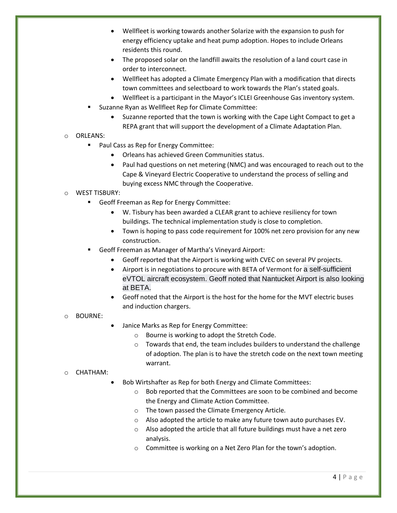- Wellfleet is working towards another Solarize with the expansion to push for energy efficiency uptake and heat pump adoption. Hopes to include Orleans residents this round.
- The proposed solar on the landfill awaits the resolution of a land court case in order to interconnect.
- Wellfleet has adopted a Climate Emergency Plan with a modification that directs town committees and selectboard to work towards the Plan's stated goals.
- Wellfleet is a participant in the Mayor's ICLEI Greenhouse Gas inventory system.
- Suzanne Ryan as Wellfleet Rep for Climate Committee:
	- Suzanne reported that the town is working with the Cape Light Compact to get a REPA grant that will support the development of a Climate Adaptation Plan.

#### o ORLEANS:

- Paul Cass as Rep for Energy Committee:
	- Orleans has achieved Green Communities status.
	- Paul had questions on net metering (NMC) and was encouraged to reach out to the Cape & Vineyard Electric Cooperative to understand the process of selling and buying excess NMC through the Cooperative.

#### o WEST TISBURY:

- Geoff Freeman as Rep for Energy Committee:
	- W. Tisbury has been awarded a CLEAR grant to achieve resiliency for town buildings. The technical implementation study is close to completion.
	- Town is hoping to pass code requirement for 100% net zero provision for any new construction.
- Geoff Freeman as Manager of Martha's Vineyard Airport:
	- Geoff reported that the Airport is working with CVEC on several PV projects.
	- Airport is in negotiations to procure with BETA of Vermont for a self-sufficient eVTOL aircraft ecosystem. Geoff noted that Nantucket Airport is also looking at BETA.
	- Geoff noted that the Airport is the host for the home for the MVT electric buses and induction chargers.

#### o BOURNE:

- Janice Marks as Rep for Energy Committee:
	- o Bourne is working to adopt the Stretch Code.
	- $\circ$  Towards that end, the team includes builders to understand the challenge of adoption. The plan is to have the stretch code on the next town meeting warrant.

#### o CHATHAM:

- Bob Wirtshafter as Rep for both Energy and Climate Committees:
	- o Bob reported that the Committees are soon to be combined and become the Energy and Climate Action Committee.
	- o The town passed the Climate Emergency Article.
	- o Also adopted the article to make any future town auto purchases EV.
	- o Also adopted the article that all future buildings must have a net zero analysis.
	- o Committee is working on a Net Zero Plan for the town's adoption.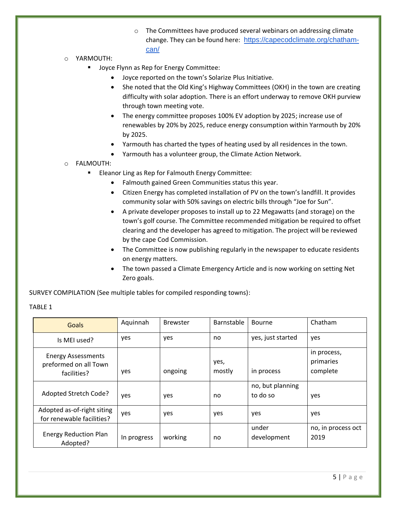- o The Committees have produced several webinars on addressing climate change. They can be found here: [https://capecodclimate.org/chatham](https://capecodclimate.org/chatham-can/)[can/](https://capecodclimate.org/chatham-can/)
- o YARMOUTH:
	- Joyce Flynn as Rep for Energy Committee:
		- Joyce reported on the town's Solarize Plus Initiative.
		- She noted that the Old King's Highway Committees (OKH) in the town are creating difficulty with solar adoption. There is an effort underway to remove OKH purview through town meeting vote.
		- The energy committee proposes 100% EV adoption by 2025; increase use of renewables by 20% by 2025, reduce energy consumption within Yarmouth by 20% by 2025.
		- Yarmouth has charted the types of heating used by all residences in the town.
		- Yarmouth has a volunteer group, the Climate Action Network.
- o FALMOUTH:
	- Eleanor Ling as Rep for Falmouth Energy Committee:
		- Falmouth gained Green Communities status this year.
		- Citizen Energy has completed installation of PV on the town's landfill. It provides community solar with 50% savings on electric bills through "Joe for Sun".
		- A private developer proposes to install up to 22 Megawatts (and storage) on the town's golf course. The Committee recommended mitigation be required to offset clearing and the developer has agreed to mitigation. The project will be reviewed by the cape Cod Commission.
		- The Committee is now publishing regularly in the newspaper to educate residents on energy matters.
		- The town passed a Climate Emergency Article and is now working on setting Net Zero goals.

SURVEY COMPILATION (See multiple tables for compiled responding towns):

| Goals                                                             | Aquinnah    | <b>Brewster</b> | Barnstable     | <b>Bourne</b>                | Chatham                              |
|-------------------------------------------------------------------|-------------|-----------------|----------------|------------------------------|--------------------------------------|
| Is MEI used?                                                      | yes         | yes             | no             | yes, just started            | yes                                  |
| <b>Energy Assessments</b><br>preformed on all Town<br>facilities? | yes         | ongoing         | yes,<br>mostly | in process                   | in process,<br>primaries<br>complete |
| Adopted Stretch Code?                                             | yes         | yes             | no             | no, but planning<br>to do so | yes                                  |
| Adopted as-of-right siting<br>for renewable facilities?           | yes         | yes             | yes            | yes                          | yes                                  |
| <b>Energy Reduction Plan</b><br>Adopted?                          | In progress | working         | no             | under<br>development         | no, in process oct<br>2019           |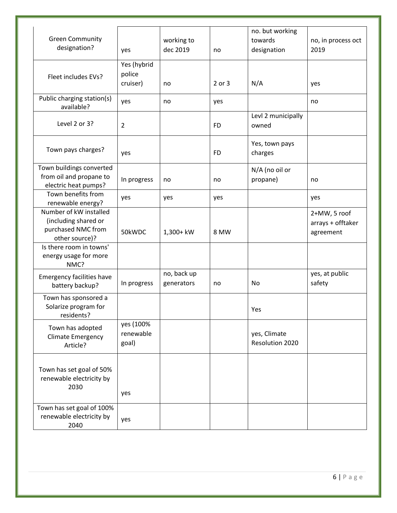|                                  |                |             |           | no. but working    |                    |
|----------------------------------|----------------|-------------|-----------|--------------------|--------------------|
| <b>Green Community</b>           |                | working to  |           | towards            | no, in process oct |
| designation?                     | yes            | dec 2019    | no        | designation        | 2019               |
|                                  |                |             |           |                    |                    |
|                                  | Yes (hybrid    |             |           |                    |                    |
| Fleet includes EVs?              | police         |             |           |                    |                    |
|                                  | cruiser)       | no          | 2 or 3    | N/A                | yes                |
|                                  |                |             |           |                    |                    |
| Public charging station(s)       | yes            | no          | yes       |                    | no                 |
| available?                       |                |             |           |                    |                    |
|                                  |                |             |           | Levl 2 municipally |                    |
| Level 2 or 3?                    | $\overline{2}$ |             | <b>FD</b> | owned              |                    |
|                                  |                |             |           |                    |                    |
| Town pays charges?               |                |             |           | Yes, town pays     |                    |
|                                  | yes            |             | <b>FD</b> | charges            |                    |
|                                  |                |             |           |                    |                    |
| Town buildings converted         |                |             |           | N/A (no oil or     |                    |
| from oil and propane to          | In progress    | no          | no        | propane)           | no                 |
| electric heat pumps?             |                |             |           |                    |                    |
| Town benefits from               | yes            | yes         | yes       |                    | yes                |
| renewable energy?                |                |             |           |                    |                    |
| Number of kW installed           |                |             |           |                    | 2+MW, 5 roof       |
| (including shared or             |                |             |           |                    | arrays + offtaker  |
| purchased NMC from               | 50kWDC         | 1,300+ kW   | 8 MW      |                    | agreement          |
| other source)?                   |                |             |           |                    |                    |
| Is there room in towns'          |                |             |           |                    |                    |
| energy usage for more            |                |             |           |                    |                    |
| NMC?                             |                |             |           |                    |                    |
| <b>Emergency facilities have</b> |                | no, back up |           |                    | yes, at public     |
| battery backup?                  | In progress    | generators  | no        | No                 | safety             |
|                                  |                |             |           |                    |                    |
| Town has sponsored a             |                |             |           |                    |                    |
| Solarize program for             |                |             |           | Yes                |                    |
| residents?                       |                |             |           |                    |                    |
| Town has adopted                 | yes (100%      |             |           |                    |                    |
| <b>Climate Emergency</b>         | renewable      |             |           | yes, Climate       |                    |
| Article?                         | goal)          |             |           | Resolution 2020    |                    |
|                                  |                |             |           |                    |                    |
|                                  |                |             |           |                    |                    |
| Town has set goal of 50%         |                |             |           |                    |                    |
| renewable electricity by         |                |             |           |                    |                    |
| 2030                             |                |             |           |                    |                    |
|                                  | yes            |             |           |                    |                    |
| Town has set goal of 100%        |                |             |           |                    |                    |
| renewable electricity by         |                |             |           |                    |                    |
| 2040                             | yes            |             |           |                    |                    |
|                                  |                |             |           |                    |                    |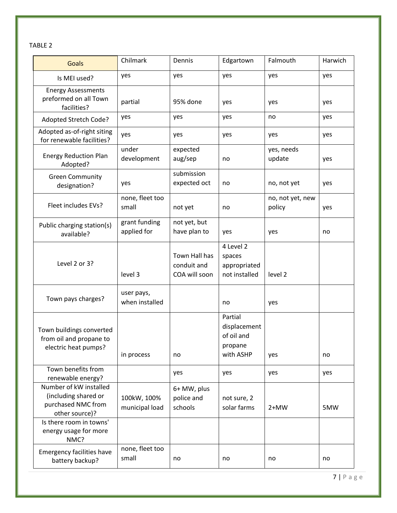TABLE 2

| <b>Goals</b>                                                                           | Chilmark                      | Dennis                                        | Edgartown                                                     | Falmouth                   | Harwich |
|----------------------------------------------------------------------------------------|-------------------------------|-----------------------------------------------|---------------------------------------------------------------|----------------------------|---------|
| Is MEI used?                                                                           | yes                           | yes                                           | yes                                                           | yes                        | yes     |
| <b>Energy Assessments</b><br>preformed on all Town<br>facilities?                      | partial                       | 95% done                                      | yes                                                           | yes                        | yes     |
| Adopted Stretch Code?                                                                  | yes                           | yes                                           | yes                                                           | no                         | yes     |
| Adopted as-of-right siting<br>for renewable facilities?                                | yes                           | yes                                           | yes                                                           | yes                        | yes     |
| <b>Energy Reduction Plan</b><br>Adopted?                                               | under<br>development          | expected<br>aug/sep                           | no                                                            | yes, needs<br>update       | yes     |
| <b>Green Community</b><br>designation?                                                 | yes                           | submission<br>expected oct                    | no                                                            | no, not yet                | yes     |
| Fleet includes EVs?                                                                    | none, fleet too<br>small      | not yet                                       | no                                                            | no, not yet, new<br>policy | yes     |
| Public charging station(s)<br>available?                                               | grant funding<br>applied for  | not yet, but<br>have plan to                  | yes                                                           | yes                        | no      |
| Level 2 or 3?                                                                          | level 3                       | Town Hall has<br>conduit and<br>COA will soon | 4 Level 2<br>spaces<br>appropriated<br>not installed          | level 2                    |         |
| Town pays charges?                                                                     | user pays,<br>when installed  |                                               | no                                                            | yes                        |         |
| Town buildings converted<br>from oil and propane to<br>electric heat pumps?            | in process                    | no                                            | Partial<br>displacement<br>of oil and<br>propane<br>with ASHP | yes                        | no      |
| Town benefits from<br>renewable energy?                                                |                               | yes                                           | yes                                                           | yes                        | yes     |
| Number of kW installed<br>(including shared or<br>purchased NMC from<br>other source)? | 100kW, 100%<br>municipal load | 6+ MW, plus<br>police and<br>schools          | not sure, 2<br>solar farms                                    | $2+MW$                     | 5MW     |
| Is there room in towns'<br>energy usage for more<br>NMC?                               |                               |                                               |                                                               |                            |         |
| <b>Emergency facilities have</b><br>battery backup?                                    | none, fleet too<br>small      | no                                            | no                                                            | no                         | no      |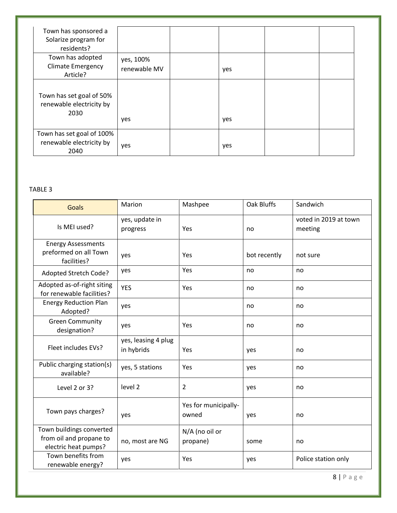| Town has sponsored a<br>Solarize program for<br>residents?    |                           |     |  |
|---------------------------------------------------------------|---------------------------|-----|--|
| Town has adopted<br><b>Climate Emergency</b><br>Article?      | yes, 100%<br>renewable MV | yes |  |
| Town has set goal of 50%<br>renewable electricity by<br>2030  | yes                       | yes |  |
| Town has set goal of 100%<br>renewable electricity by<br>2040 | yes                       | yes |  |

#### TABLE 3

| Goals                                                                       | Marion                            | Mashpee                       | Oak Bluffs   | Sandwich                         |
|-----------------------------------------------------------------------------|-----------------------------------|-------------------------------|--------------|----------------------------------|
| Is MEI used?                                                                | yes, update in<br>progress        | Yes                           | no           | voted in 2019 at town<br>meeting |
| <b>Energy Assessments</b><br>preformed on all Town<br>facilities?           | yes                               | Yes                           | bot recently | not sure                         |
| Adopted Stretch Code?                                                       | yes                               | Yes                           | no           | no                               |
| Adopted as-of-right siting<br>for renewable facilities?                     | <b>YES</b>                        | Yes                           | no           | no                               |
| <b>Energy Reduction Plan</b><br>Adopted?                                    | yes                               |                               | no           | no                               |
| <b>Green Community</b><br>designation?                                      | yes                               | Yes                           | no           | no                               |
| Fleet includes EVs?                                                         | yes, leasing 4 plug<br>in hybrids | Yes                           | yes          | no                               |
| Public charging station(s)<br>available?                                    | yes, 5 stations                   | Yes                           | yes          | no                               |
| Level 2 or 3?                                                               | level 2                           | $\overline{2}$                | yes          | no                               |
| Town pays charges?                                                          | yes                               | Yes for municipally-<br>owned | yes          | no                               |
| Town buildings converted<br>from oil and propane to<br>electric heat pumps? | no, most are NG                   | N/A (no oil or<br>propane)    | some         | no                               |
| Town benefits from<br>renewable energy?                                     | yes                               | Yes                           | yes          | Police station only              |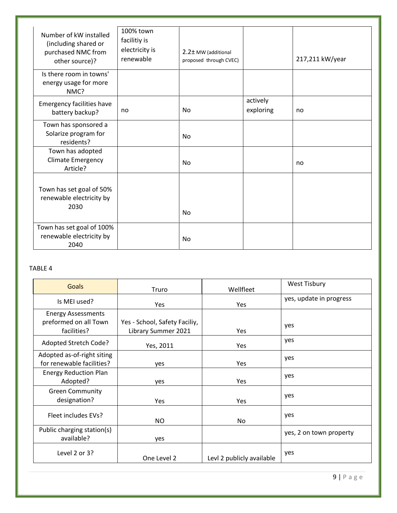| Number of kW installed<br>(including shared or<br>purchased NMC from<br>other source)? | 100% town<br>facilitiy is<br>electricity is<br>renewable | 2.2± MW (additional<br>proposed through CVEC) |                       | 217,211 kW/year |
|----------------------------------------------------------------------------------------|----------------------------------------------------------|-----------------------------------------------|-----------------------|-----------------|
| Is there room in towns'<br>energy usage for more<br>NMC?                               |                                                          |                                               |                       |                 |
| <b>Emergency facilities have</b><br>battery backup?                                    | no                                                       | No                                            | actively<br>exploring | no              |
| Town has sponsored a<br>Solarize program for<br>residents?                             |                                                          | <b>No</b>                                     |                       |                 |
| Town has adopted<br><b>Climate Emergency</b><br>Article?                               |                                                          | <b>No</b>                                     |                       | no              |
| Town has set goal of 50%<br>renewable electricity by<br>2030                           |                                                          | <b>No</b>                                     |                       |                 |
| Town has set goal of 100%<br>renewable electricity by<br>2040                          |                                                          | <b>No</b>                                     |                       |                 |

#### TABLE 4

| <b>Goals</b>                                                      | Truro                                                | Wellfleet                 | <b>West Tisbury</b>     |
|-------------------------------------------------------------------|------------------------------------------------------|---------------------------|-------------------------|
| Is MEI used?                                                      | Yes                                                  | Yes                       | yes, update in progress |
| <b>Energy Assessments</b><br>preformed on all Town<br>facilities? | Yes - School, Safety Faciliy,<br>Library Summer 2021 | <b>Yes</b>                | yes                     |
| Adopted Stretch Code?                                             | Yes, 2011                                            | Yes                       | yes                     |
| Adopted as-of-right siting<br>for renewable facilities?           | yes                                                  | Yes                       | yes                     |
| <b>Energy Reduction Plan</b><br>Adopted?                          | yes                                                  | Yes                       | yes                     |
| <b>Green Community</b><br>designation?                            | Yes                                                  | Yes                       | yes                     |
| Fleet includes EVs?                                               | NO.                                                  | No                        | yes                     |
| Public charging station(s)<br>available?                          | yes                                                  |                           | yes, 2 on town property |
| Level 2 or 3?                                                     | One Level 2                                          | Levl 2 publicly available | yes                     |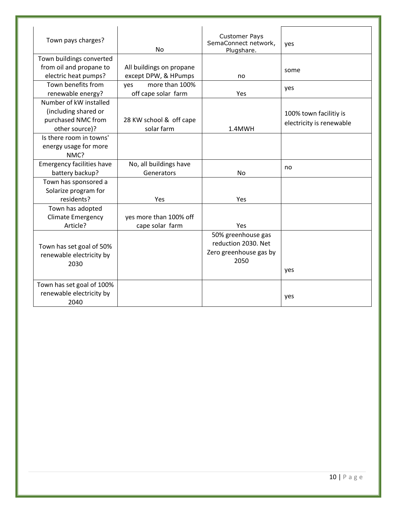| Town pays charges?                                                                     | <b>No</b>                                        | <b>Customer Pays</b><br>SemaConnect network,<br>Plugshare.                  | yes                                                |
|----------------------------------------------------------------------------------------|--------------------------------------------------|-----------------------------------------------------------------------------|----------------------------------------------------|
| Town buildings converted                                                               |                                                  |                                                                             |                                                    |
| from oil and propane to<br>electric heat pumps?                                        | All buildings on propane<br>except DPW, & HPumps | no                                                                          | some                                               |
| Town benefits from<br>renewable energy?                                                | more than 100%<br>yes<br>off cape solar farm     | Yes                                                                         | yes                                                |
| Number of kW installed<br>(including shared or<br>purchased NMC from<br>other source)? | 28 KW school & off cape<br>solar farm            | 1.4MWH                                                                      | 100% town facilitiy is<br>electricity is renewable |
| Is there room in towns'<br>energy usage for more<br>NMC?                               |                                                  |                                                                             |                                                    |
| <b>Emergency facilities have</b><br>battery backup?                                    | No, all buildings have<br>Generators             | <b>No</b>                                                                   | no                                                 |
| Town has sponsored a<br>Solarize program for<br>residents?                             | Yes                                              | Yes                                                                         |                                                    |
| Town has adopted<br><b>Climate Emergency</b><br>Article?                               | yes more than 100% off<br>cape solar farm        | Yes                                                                         |                                                    |
| Town has set goal of 50%<br>renewable electricity by<br>2030                           |                                                  | 50% greenhouse gas<br>reduction 2030. Net<br>Zero greenhouse gas by<br>2050 | yes                                                |
| Town has set goal of 100%<br>renewable electricity by<br>2040                          |                                                  |                                                                             | yes                                                |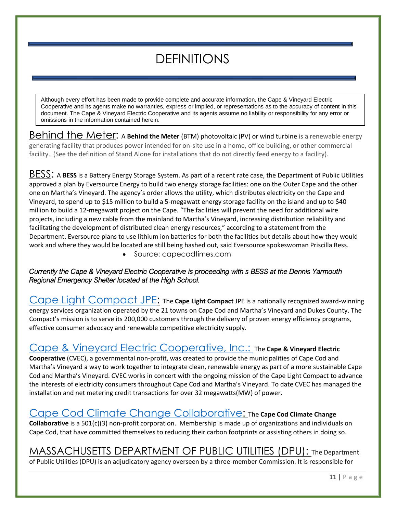## DEFINITIONS

Although every effort has been made to provide complete and accurate information, the Cape & Vineyard Electric Cooperative and its agents make no warranties, express or implied, or representations as to the accuracy of content in this document. The Cape & Vineyard Electric Cooperative and its agents assume no liability or responsibility for any error or omissions in the information contained herein.

Behind the Meter: A **Behind the Meter** (BTM) photovoltaic (PV) or wind turbine is a renewable energy generating facility that produces power intended for on-site use in a home, office building, or other commercial facility. (See the definition of Stand Alone for installations that do not directly feed energy to a facility).

BESS: A **BESS** is a Battery Energy Storage System. As part of a recent rate case, the Department of Public Utilities approved a plan by Eversource Energy to build two energy storage facilities: one on the Outer Cape and the other one on Martha's Vineyard. The agency's order allows the utility, which distributes electricity on the Cape and Vineyard, to spend up to \$15 million to build a 5-megawatt energy storage facility on the island and up to \$40 million to build a 12-megawatt project on the Cape. "The facilities will prevent the need for additional wire projects, including a new cable from the mainland to Martha's Vineyard, increasing distribution reliability and facilitating the development of distributed clean energy resources," according to a statement from the Department. Eversource plans to use lithium ion batteries for both the facilities but details about how they would work and where they would be located are still being hashed out, said Eversource spokeswoman Priscilla Ress.

• Source: capecodtimes.com

#### *Currently the Cape & Vineyard Electric Cooperative is proceeding with s BESS at the Dennis Yarmouth Regional Emergency Shelter located at the High School.*

[Cape Light Compact JPE:](file:///C:/Users/Liz%20Argo/Downloads/capelightcompact.org) The **Cape Light Compact** JPE is a nationally recognized award-winning energy services organization operated by the 21 towns on Cape Cod and Martha's Vineyard and Dukes County. The Compact's mission is to serve its 200,000 customers through the delivery of proven energy efficiency programs, effective consumer advocacy and renewable competitive electricity supply.

### [Cape & Vineyard Electric Cooperative, Inc.:](file:///C:/Users/Liz%20Argo/Downloads/cvecinc.org) The **Cape & Vineyard Electric**

**Cooperative** (CVEC), a governmental non-profit, was created to provide the municipalities of Cape Cod and Martha's Vineyard a way to work together to integrate clean, renewable energy as part of a more sustainable Cape Cod and Martha's Vineyard. CVEC works in concert with the ongoing mission of the [Cape Light Compact](http://capelightcompact.org/) to advance the interests of electricity consumers throughout Cape Cod and Martha's Vineyard. To date CVEC has managed the installation and net metering credit transactions for over 32 megawatts(MW) of power.

## [Cape Cod Climate Change Collaborative:](file:///C:/Users/Liz%20Argo/Downloads/capecodclimate.org) The **Cape Cod Climate Change**

**Collaborative** is a 501(c)(3) non-profit corporation. Membership is made up of organizations and individuals on Cape Cod, that have committed themselves to reducing their carbon footprints or assisting others in doing so.

## MASSACHUSETTS DEPARTMENT OF PUBLIC UTILITIES (DPU): The Department

of Public Utilities (DPU) is an adjudicatory agency overseen by a three-member Commission. It is responsible for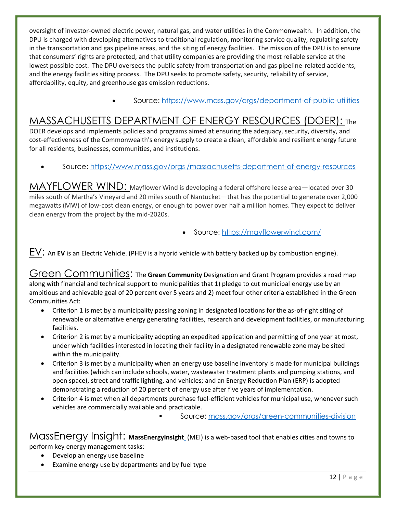oversight of investor-owned electric power, natural gas, and water utilities in the Commonwealth. In addition, the DPU is charged with developing alternatives to traditional regulation, monitoring service quality, regulating safety in the transportation and gas pipeline areas, and the siting of energy facilities. The mission of the DPU is to ensure that consumers' rights are protected, and that utility companies are providing the most reliable service at the lowest possible cost. The DPU oversees the public safety from transportation and gas pipeline-related accidents, and the energy facilities siting process. The DPU seeks to promote safety, security, reliability of service, affordability, equity, and greenhouse gas emission reductions.

• Source:<https://www.mass.gov/orgs/department-of-public-utilities>

### MASSACHUSETTS DEPARTMENT OF ENERGY RESOURCES (DOER): The

DOER develops and implements policies and programs aimed at ensuring the adequacy, security, diversity, and cost-effectiveness of the Commonwealth's energy supply to create a clean, affordable and resilient energy future for all residents, businesses, communities, and institutions.

• Source: https://www.mass.gov/orgs [/massachusetts-department-of-energy-resources](https://www.mass.gov/orgs%20/massachusetts-department-of-energy-resources)

MAYFLOWER WIND: Mayflower Wind is developing a federal offshore lease area—located over 30 miles south of Martha's Vineyard and 20 miles south of Nantucket—that has the potential to generate over 2,000 megawatts (MW) of low-cost clean energy, or enough to power over half a million homes. They expect to deliver clean energy from the project by the mid-2020s.

• Source:<https://mayflowerwind.com/>

EV: An **EV** is an Electric Vehicle. (PHEV is a hybrid vehicle with battery backed up by combustion engine).

Green Communities: The Green Community Designation and Grant Program provides a road map along with financial and technical support to municipalities that 1) pledge to cut municipal energy use by an ambitious and achievable goal of 20 percent over 5 years and 2) meet four other criteria established in the Green Communities Act:

- Criterion 1 is met by a municipality passing zoning in designated locations for the as-of-right siting of renewable or alternative energy generating facilities, research and development facilities, or manufacturing facilities.
- Criterion 2 is met by a municipality adopting an expedited application and permitting of one year at most, under which facilities interested in locating their facility in a designated renewable zone may be sited within the municipality.
- Criterion 3 is met by a municipality when an energy use baseline inventory is made for municipal buildings and facilities (which can include schools, water, wastewater treatment plants and pumping stations, and open space), street and traffic lighting, and vehicles; and an Energy Reduction Plan (ERP) is adopted demonstrating a reduction of 20 percent of energy use after five years of implementation.
- Criterion 4 is met when all departments purchase fuel-efficient vehicles for municipal use, whenever such vehicles are commercially available and practicable.

Source: [mass.gov/orgs/green-communities-division](https://www.mass.gov/orgs/green-communities-division)

MassEnergy Insight: **MassEnergyInsigh[t](https://www.massenergyinsight.net/home)** (MEI) is a web-based tool that enables cities and towns to perform key energy management tasks:

- Develop an energy use baseline
- Examine energy use by departments and by fuel type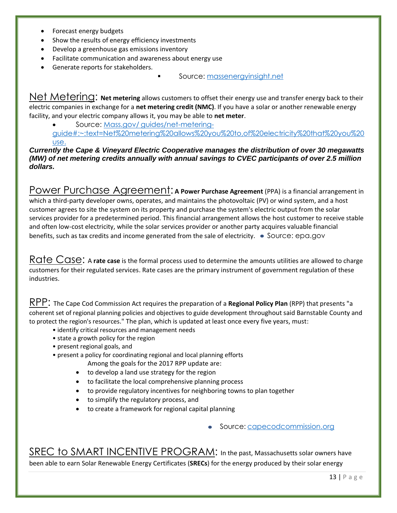- Forecast energy budgets
- Show the results of energy efficiency investments
- Develop a greenhouse gas emissions inventory
- Facilitate communication and awareness about energy use
- Generate reports for stakeholders*.*
- Source: [massenergyinsight.net](https://www.massenergyinsight.net/)

Net Metering: **Net metering** allows customers to offset their energy use and transfer energy back to their electric companies in exchange for a **net metering credit (NMC)**. If you have a solar or another renewable energy facility, and your electric company allows it, you may be able to **net meter**.

• Source: Mass.gov/ [guides/net-metering-](https://www.mass.gov/guides/net-metering-guide#:~:text=Net%20metering%20allows%20you%20to,of%20electricity%20that%20you%20use.)

[guide#:~:text=Net%20metering%20allows%20you%20to,of%20electricity%20that%20you%20](https://www.mass.gov/guides/net-metering-guide#:~:text=Net%20metering%20allows%20you%20to,of%20electricity%20that%20you%20use.) [use.](https://www.mass.gov/guides/net-metering-guide#:~:text=Net%20metering%20allows%20you%20to,of%20electricity%20that%20you%20use.)

*Currently the Cape & Vineyard Electric Cooperative manages the distribution of over 30 megawatts (MW) of net metering credits annually with annual savings to CVEC participants of over 2.5 million dollars.*

Power Purchase Agreement: **A** Power Purchase Agreement (PPA) is a financial arrangement in which a third-party developer owns, operates, and maintains the photovoltaic (PV) or wind system, and a host customer agrees to site the system on its property and purchase the system's electric output from the solar services provider for a predetermined period. This financial arrangement allows the host customer to receive stable and often low-cost electricity, while the solar services provider or another party acquires valuable financial benefits, such as tax credits and income generated from the sale of electricity.  $\bullet$  Source: epa.gov

Rate Case: A rate case is the formal process used to determine the amounts utilities are allowed to charge customers for their regulated services. Rate cases are the primary instrument of government regulation of these industries.

RPP: The Cape Cod Commission Act requires the preparation of a **Regional Policy Plan** (RPP) that presents "a coherent set of regional planning policies and objectives to guide development throughout said Barnstable County and to protect the region's resources." The plan, which is updated at least once every five years, must:

- identify critical resources and management needs
- state a growth policy for the region
- present regional goals, and
- present a policy for coordinating regional and local planning efforts
	- Among the goals for the 2017 RPP update are:
	- to develop a land use strategy for the region
	- to facilitate the local comprehensive planning process
	- to provide regulatory incentives for neighboring towns to plan together
	- to simplify the regulatory process, and
	- to create a framework for regional capital planning

• Source: [capecodcommission.org](file:///C:/Users/Liz%20Argo/Downloads/capecodcommission.org)

SREC to SMART INCENTIVE PROGRAM: In the past, Massachusetts solar owners have been able to earn [Solar Renewable Energy Certificates](http://www.knollwoodenergy.com/srec-markets/ma-srec-program/) (**SRECs**) for the energy produced by their solar energy